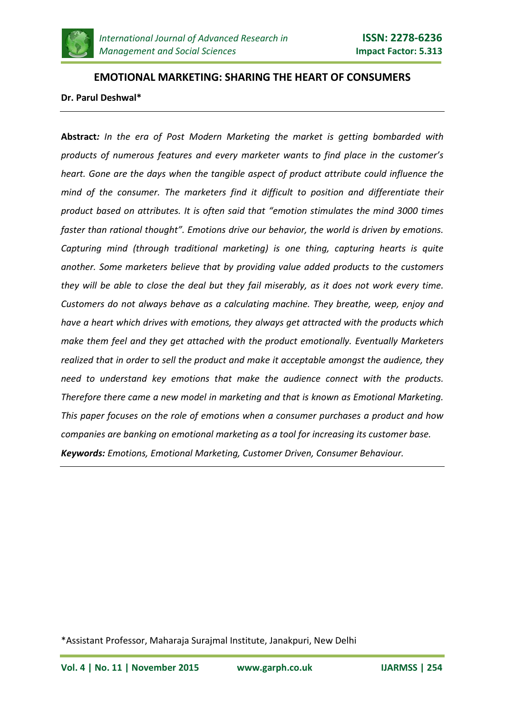

# **EMOTIONAL MARKETING: SHARING THE HEART OF CONSUMERS Dr. Parul Deshwal\***

**Abstract***: In the era of Post Modern Marketing the market is getting bombarded with products of numerous features and every marketer wants to find place in the customer's heart. Gone are the days when the tangible aspect of product attribute could influence the mind of the consumer. The marketers find it difficult to position and differentiate their product based on attributes. It is often said that "emotion stimulates the mind 3000 times faster than rational thought". Emotions drive our behavior, the world is driven by emotions. Capturing mind (through traditional marketing) is one thing, capturing hearts is quite another. Some marketers believe that by providing value added products to the customers they will be able to close the deal but they fail miserably, as it does not work every time. Customers do not always behave as a calculating machine. They breathe, weep, enjoy and have a heart which drives with emotions, they always get attracted with the products which make them feel and they get attached with the product emotionally. Eventually Marketers realized that in order to sell the product and make it acceptable amongst the audience, they need to understand key emotions that make the audience connect with the products. Therefore there came a new model in marketing and that is known as Emotional Marketing. This paper focuses on the role of emotions when a consumer purchases a product and how companies are banking on emotional marketing as a tool for increasing its customer base. Keywords: Emotions, Emotional Marketing, Customer Driven, Consumer Behaviour.*

<sup>\*</sup>Assistant Professor, Maharaja Surajmal Institute, Janakpuri, New Delhi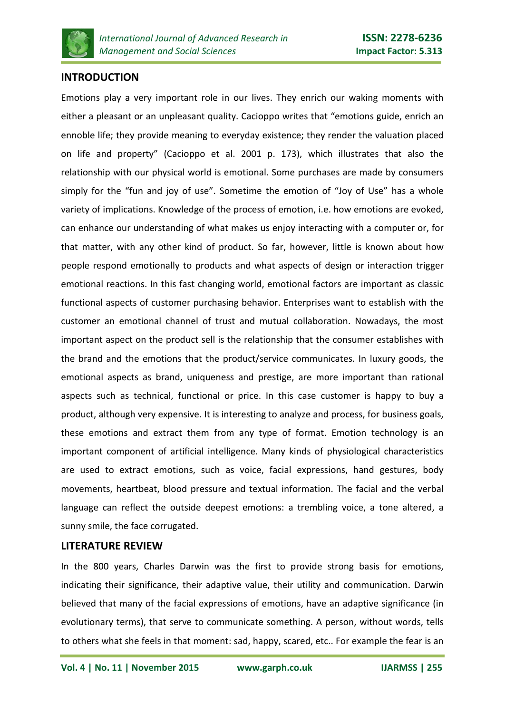

# **INTRODUCTION**

Emotions play a very important role in our lives. They enrich our waking moments with either a pleasant or an unpleasant quality. Cacioppo writes that "emotions guide, enrich an ennoble life; they provide meaning to everyday existence; they render the valuation placed on life and property" (Cacioppo et al. 2001 p. 173), which illustrates that also the relationship with our physical world is emotional. Some purchases are made by consumers simply for the "fun and joy of use". Sometime the emotion of "Joy of Use" has a whole variety of implications. Knowledge of the process of emotion, i.e. how emotions are evoked, can enhance our understanding of what makes us enjoy interacting with a computer or, for that matter, with any other kind of product. So far, however, little is known about how people respond emotionally to products and what aspects of design or interaction trigger emotional reactions. In this fast changing world, emotional factors are important as classic functional aspects of customer purchasing behavior. Enterprises want to establish with the customer an emotional channel of trust and mutual collaboration. Nowadays, the most important aspect on the product sell is the relationship that the consumer establishes with the brand and the emotions that the product/service communicates. In luxury goods, the emotional aspects as brand, uniqueness and prestige, are more important than rational aspects such as technical, functional or price. In this case customer is happy to buy a product, although very expensive. It is interesting to analyze and process, for business goals, these emotions and extract them from any type of format. Emotion technology is an important component of artificial intelligence. Many kinds of physiological characteristics are used to extract emotions, such as voice, facial expressions, hand gestures, body movements, heartbeat, blood pressure and textual information. The facial and the verbal language can reflect the outside deepest emotions: a trembling voice, a tone altered, a sunny smile, the face corrugated.

#### **LITERATURE REVIEW**

In the 800 years, Charles Darwin was the first to provide strong basis for emotions, indicating their significance, their adaptive value, their utility and communication. Darwin believed that many of the facial expressions of emotions, have an adaptive significance (in evolutionary terms), that serve to communicate something. A person, without words, tells to others what she feels in that moment: sad, happy, scared, etc.. For example the fear is an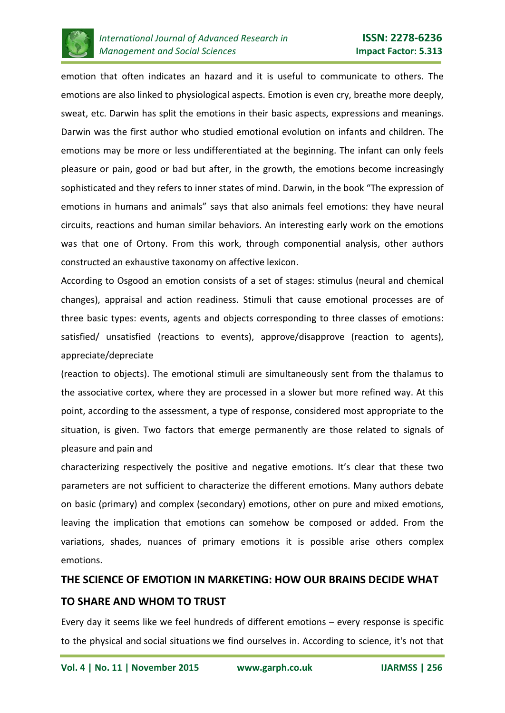

emotion that often indicates an hazard and it is useful to communicate to others. The emotions are also linked to physiological aspects. Emotion is even cry, breathe more deeply, sweat, etc. Darwin has split the emotions in their basic aspects, expressions and meanings. Darwin was the first author who studied emotional evolution on infants and children. The emotions may be more or less undifferentiated at the beginning. The infant can only feels pleasure or pain, good or bad but after, in the growth, the emotions become increasingly sophisticated and they refers to inner states of mind. Darwin, in the book "The expression of emotions in humans and animals" says that also animals feel emotions: they have neural circuits, reactions and human similar behaviors. An interesting early work on the emotions was that one of Ortony. From this work, through componential analysis, other authors constructed an exhaustive taxonomy on affective lexicon.

According to Osgood an emotion consists of a set of stages: stimulus (neural and chemical changes), appraisal and action readiness. Stimuli that cause emotional processes are of three basic types: events, agents and objects corresponding to three classes of emotions: satisfied/ unsatisfied (reactions to events), approve/disapprove (reaction to agents), appreciate/depreciate

(reaction to objects). The emotional stimuli are simultaneously sent from the thalamus to the associative cortex, where they are processed in a slower but more refined way. At this point, according to the assessment, a type of response, considered most appropriate to the situation, is given. Two factors that emerge permanently are those related to signals of pleasure and pain and

characterizing respectively the positive and negative emotions. It's clear that these two parameters are not sufficient to characterize the different emotions. Many authors debate on basic (primary) and complex (secondary) emotions, other on pure and mixed emotions, leaving the implication that emotions can somehow be composed or added. From the variations, shades, nuances of primary emotions it is possible arise others complex emotions.

# **THE SCIENCE OF EMOTION IN MARKETING: HOW OUR BRAINS DECIDE WHAT TO SHARE AND WHOM TO TRUST**

Every day it seems like we feel hundreds of different emotions – every response is specific to the physical and [social situations](http://blog.bufferapp.com/why-talking-about-ourselves-is-as-rewarding-as-sex-the-science-of-conversations) we find ourselves in. According to science, it's not that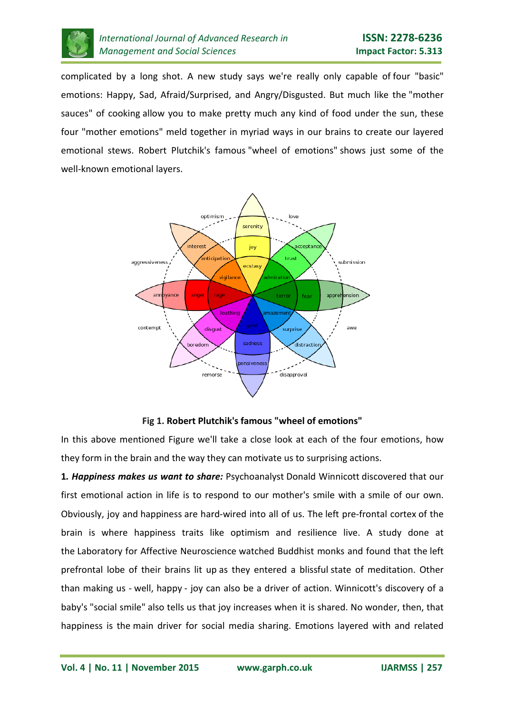

complicated by a long shot. A new study says we're really only capable of [four "basic"](http://www.theatlantic.com/health/archive/2014/02/new-research-says-there-are-only-four-emotions/283560/)  [emotions:](http://www.theatlantic.com/health/archive/2014/02/new-research-says-there-are-only-four-emotions/283560/) Happy, Sad, Afraid/Surprised, and Angry/Disgusted. But much like the "mother sauces" of cooking allow you to make pretty much any kind of food under the sun, these four "mother emotions" meld together in myriad ways in our brains to create our layered emotional stews. Robert Plutchik's famous "wheel of emotions" shows just some of the well-known emotional layers.



**Fig 1. Robert Plutchik's famous "wheel of emotions"**

In this above mentioned Figure we'll take a close look at each of the four emotions, how they form in the brain and the way they can [motivate us](http://blog.bufferapp.com/the-science-of-what-motivates-us-to-get-up-for-work-every-day) to surprising actions.

**1***. Happiness makes us want to share:* Psychoanalyst Donald Winnicott discovered that our first emotional action in life is to respond to our mother's smile with a smile of our own. Obviously, joy and [happiness](http://blog.bufferapp.com/10-scientifically-proven-ways-to-make-yourself-happier) are hard-wired into all of us. The [left pre-frontal cortex](http://www.psychologytoday.com/blog/in-the-face-adversity/201302/the-role-the-brain-in-happiness) of the brain is where happiness traits like optimism and resilience live. A study done at the [Laboratory for Affective Neuroscience](http://psyphz.psych.wisc.edu/) watched Buddhist monks and found that the [left](http://www.oprah.com/spirit/Finding-Happiness-How-to-Beat-Depression-and-Anxiety)  [prefrontal lobe of their brains lit up](http://www.oprah.com/spirit/Finding-Happiness-How-to-Beat-Depression-and-Anxiety) as they entered a blissful [state of meditation.](http://blog.bufferapp.com/how-meditation-affects-your-brain) Other than making us - [well, happy](http://blog.bufferapp.com/6-simple-things-i-do-every-day-to-be-consistently-happy) - joy can also be a driver of action. Winnicott's discovery of a baby's ["social smile"](http://www.britannica.com/EBchecked/topic/551442/social-smiling) also tells us that joy increases when it is shared. No wonder, then, that happiness is the [main driver for social media sharing.](http://www.nytimes.com/2013/03/19/science/good-news-spreads-faster-on-twitter-and-facebook.html?pagewanted=all) Emotions layered with and related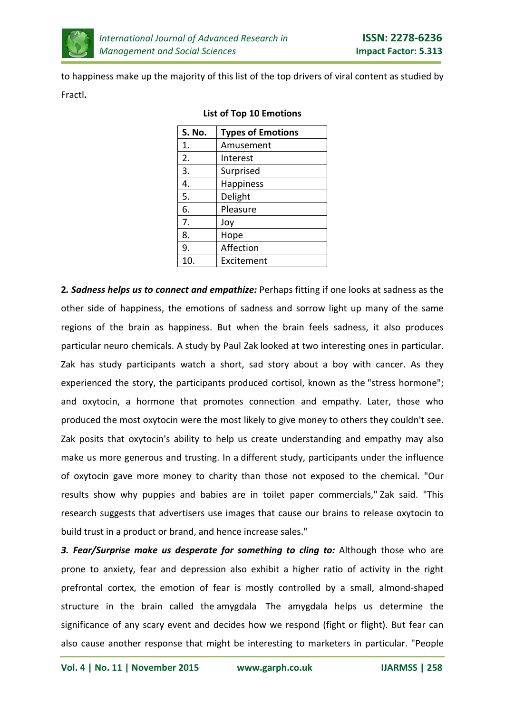

to [happiness](http://blog.bufferapp.com/10-things-to-stop-doing-to-yourself-to-be-happier-backed-by-science) make up the majority of this list of the top drivers of viral content as [studied by](http://www.slideshare.net/kelseylibert/the-anatomy-of-a-viral-hit-how-to-reach-million-cultivate-relationships-and-generate-1200-links-viral-emotions-case-study)  [Fractl](http://www.slideshare.net/kelseylibert/the-anatomy-of-a-viral-hit-how-to-reach-million-cultivate-relationships-and-generate-1200-links-viral-emotions-case-study)**.**

| S. No. | <b>Types of Emotions</b> |
|--------|--------------------------|
| 1.     | Amusement                |
| 2.     | Interest                 |
| 3.     | Surprised                |
| 4.     | Happiness                |
| 5.     | Delight                  |
| 6.     | Pleasure                 |
| 7.     | Joy                      |
| 8.     | Hope                     |
| 9.     | Affection                |
| 10.    | Excitement               |

#### **List of Top 10 Emotions**

**2***. Sadness helps us to connect and empathize:* Perhaps fitting if one looks at sadness as the other side of happiness, the emotions of sadness and sorrow light up many of the same regions of the brain as happiness. But when the brain feels sadness, it also produces particular neuro chemicals. A [study by Paul Zak](http://www.spring.org.uk/2014/01/the-psychology-of-storytelling-and-empathy-animated.php) looked at two interesting ones in particular. Zak has study participants watch a short, sad story about a boy with cancer. As they experienced the story, the participants produced cortisol, known as the ["stress hormone";](http://blog.bufferapp.com/the-science-of-stress-how-its-breaking-down-your-body) and oxytocin, a hormone that promotes connection and empathy. Later, those who produced the most oxytocin were the most likely to give money to others they couldn't see. Zak posits that oxytocin's ability to help us create understanding and empathy may also make us more generous and trusting. In a [different study,](http://www.plosone.org/article/fetchObject.action?uri=info%3Adoi%2F10.1371%2Fjournal.pone.0001128&representation=PDF) participants under the influence of oxytocin gave more money to charity than those not exposed to the chemical. "Our results show why puppies and babies are in toilet paper commercials," [Zak said.](http://www.sciencedaily.com/releases/2010/11/101115160404.htm) "This research suggests that advertisers use images that cause our brains to release oxytocin to build trust in a product or brand, and hence increase sales."

*3. Fear/Surprise make us desperate for something to cling to:* Although those who are prone to anxiety, fear and depression also exhibit a higher ratio of activity in the right prefrontal cortex, the emotion of fear is mostly controlled by a small, almond-shaped structure in the brain called the amygdala The amygdala helps us determine the significance of any scary event and decides how we respond (fight or flight). But fear can also cause another response that might be interesting to marketers in particular. "People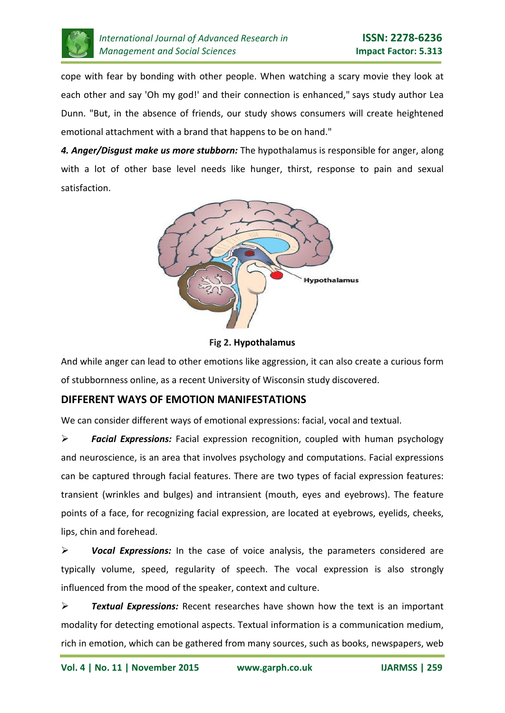

cope with fear by bonding with other people. When watching a scary movie they look at each other and say 'Oh my god!' and their connection is enhanced," says study author Lea [Dunn.](http://news.ubc.ca/2014/02/05/want-brand-loyalty-scare-your-customers/) "But, in the absence of friends, our study shows consumers will create heightened emotional attachment with a brand that happens to be on hand."

*4. Anger/Disgust make us more stubborn:* The [hypothalamus](http://webspace.ship.edu/cgboer/limbicsystem.html) is responsible for anger, along with a lot of other base level needs like hunger, thirst, response to pain and sexual satisfaction.



**Fig 2. [Hypothalamus](http://webspace.ship.edu/cgboer/limbicsystem.html)**

And while anger can lead to other emotions like aggression, it can also create a curious form of stubbornness online, as [a recent University of Wisconsin study discovered.](http://onlinelibrary.wiley.com/doi/10.1111/jcc4.12009/abstract)

# **DIFFERENT WAYS OF EMOTION MANIFESTATIONS**

We can consider different ways of emotional expressions: facial, vocal and textual.

 *Facial Expressions:* Facial expression recognition, coupled with human psychology and neuroscience, is an area that involves psychology and computations. Facial expressions can be captured through facial features. There are two types of facial expression features: transient (wrinkles and bulges) and intransient (mouth, eyes and eyebrows). The feature points of a face, for recognizing facial expression, are located at eyebrows, eyelids, cheeks, lips, chin and forehead.

 *Vocal Expressions:* In the case of voice analysis, the parameters considered are typically volume, speed, regularity of speech. The vocal expression is also strongly influenced from the mood of the speaker, context and culture.

 *Textual Expressions:* Recent researches have shown how the text is an important modality for detecting emotional aspects. Textual information is a communication medium, rich in emotion, which can be gathered from many sources, such as books, newspapers, web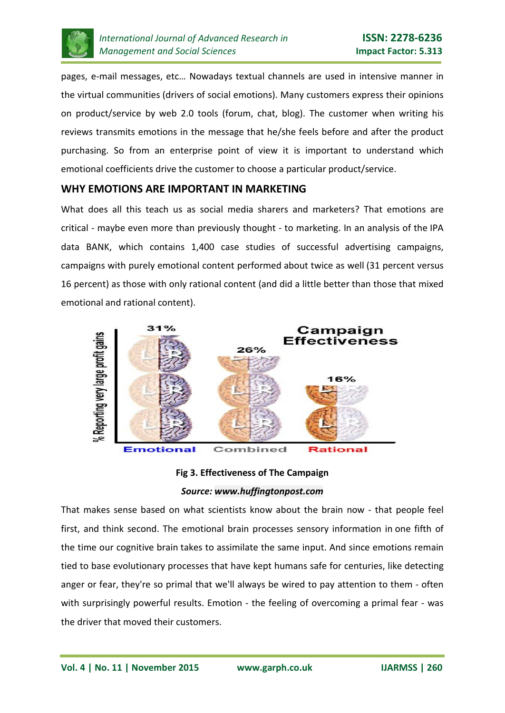

pages, e-mail messages, etc… Nowadays textual channels are used in intensive manner in the virtual communities (drivers of social emotions). Many customers express their opinions on product/service by web 2.0 tools (forum, chat, blog). The customer when writing his reviews transmits emotions in the message that he/she feels before and after the product purchasing. So from an enterprise point of view it is important to understand which emotional coefficients drive the customer to choose a particular product/service.

#### **WHY EMOTIONS ARE IMPORTANT IN MARKETING**

What does all this teach us as social media sharers and marketers? That emotions are critical - maybe even more than previously thought - to marketing. In an analysis of the [IPA](http://www.ipa.co.uk/Page/IPA-Effectiveness-Advertising-Case-Studies#.UxUbPfRg5vk)  data [BANK,](http://www.ipa.co.uk/Page/IPA-Effectiveness-Advertising-Case-Studies#.UxUbPfRg5vk) which contains 1,400 case studies of successful advertising campaigns, campaigns with purely emotional content performed [about twice as well](http://www.neurosciencemarketing.com/blog/articles/emotional-ads-work-best.htm#sthash.yu8l31Jn.dpuf) (31 percent versus 16 percent) as those with only rational content (and did a little better than those that mixed emotional and rational content).



**Fig 3. Effectiveness of The Campaign** *Source: [www.huffingtonpost.com](https://www.google.co.in/url?sa=i&rct=j&q=&esrc=s&source=images&cd=&cad=rja&uact=8&ved=0CAYQjB1qFQoTCO7j26atmskCFYNIjgodZrMNdg&url=http%3A%2F%2Fwww.huffingtonpost.com%2Fcourtney-seiter%2Fthe-science-of-emotion-in_b_5489567.html&psig=AFQjCNHgeh2eDpaMIbkY1LW5bCEG_QE-ow&ust=1447948803295271)*

That makes sense based on what scientists know about the brain now - that people feel first, and think second. The emotional brain processes sensory information in [one fifth of](http://books.google.com/books?id=52HKy4RXqpAC&pg=PA19&lpg=PA19&dq=The+emotional+brain+processes+sensory+information+one+fifth+the+time+cognitive+brain+takes&source=bl&ots=FU0Q5CsOpP&sig=hq5aM4q9fYJ8Y7KgMfplw9LzIx4&hl=en&sa=X&ei=xf8UU_HoKIajkQfu1oBo&ved=0CDYQ6AEwAg#v=onepage&q=The%20emotional%20brain%20processes%20sensory%20information%20one%20fifth%20the%20time%20cognitive%20brain%20takes&f=false)  [the time our cognitive brain](http://books.google.com/books?id=52HKy4RXqpAC&pg=PA19&lpg=PA19&dq=The+emotional+brain+processes+sensory+information+one+fifth+the+time+cognitive+brain+takes&source=bl&ots=FU0Q5CsOpP&sig=hq5aM4q9fYJ8Y7KgMfplw9LzIx4&hl=en&sa=X&ei=xf8UU_HoKIajkQfu1oBo&ved=0CDYQ6AEwAg#v=onepage&q=The%20emotional%20brain%20processes%20sensory%20information%20one%20fifth%20the%20time%20cognitive%20brain%20takes&f=false) takes to assimilate the same input. And since emotions remain tied to base evolutionary processes that have kept humans safe for centuries, like detecting anger or fear, they're so primal that we'll always be wired to pay attention to them - often with surprisingly powerful results. Emotion - the feeling of overcoming a primal fear - was the driver that moved their customers.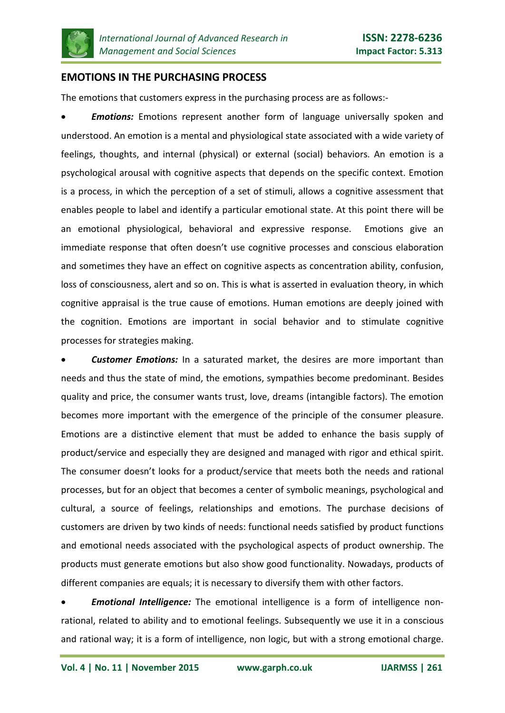

### **EMOTIONS IN THE PURCHASING PROCESS**

The emotions that customers express in the purchasing process are as follows:-

**Emotions:** Emotions represent another form of language universally spoken and understood. An emotion is a mental and physiological state associated with a wide variety of feelings, thoughts, and internal (physical) or external (social) behaviors. An emotion is a psychological arousal with cognitive aspects that depends on the specific context. Emotion is a process, in which the perception of a set of stimuli, allows a cognitive assessment that enables people to label and identify a particular emotional state. At this point there will be an emotional physiological, behavioral and expressive response. Emotions give an immediate response that often doesn't use cognitive processes and conscious elaboration and sometimes they have an effect on cognitive aspects as concentration ability, confusion, loss of consciousness, alert and so on. This is what is asserted in evaluation theory, in which cognitive appraisal is the true cause of emotions. Human emotions are deeply joined with the cognition. Emotions are important in social behavior and to stimulate cognitive processes for strategies making.

• *Customer Emotions:* In a saturated market, the desires are more important than needs and thus the state of mind, the emotions, sympathies become predominant. Besides quality and price, the consumer wants trust, love, dreams (intangible factors). The emotion becomes more important with the emergence of the principle of the consumer pleasure. Emotions are a distinctive element that must be added to enhance the basis supply of product/service and especially they are designed and managed with rigor and ethical spirit. The consumer doesn't looks for a product/service that meets both the needs and rational processes, but for an object that becomes a center of symbolic meanings, psychological and cultural, a source of feelings, relationships and emotions. The purchase decisions of customers are driven by two kinds of needs: functional needs satisfied by product functions and emotional needs associated with the psychological aspects of product ownership. The products must generate emotions but also show good functionality. Nowadays, products of different companies are equals; it is necessary to diversify them with other factors.

• *Emotional Intelligence:* The emotional intelligence is a form of intelligence nonrational, related to ability and to emotional feelings. Subsequently we use it in a conscious and rational way; it is a form of intelligence, non logic, but with a strong emotional charge.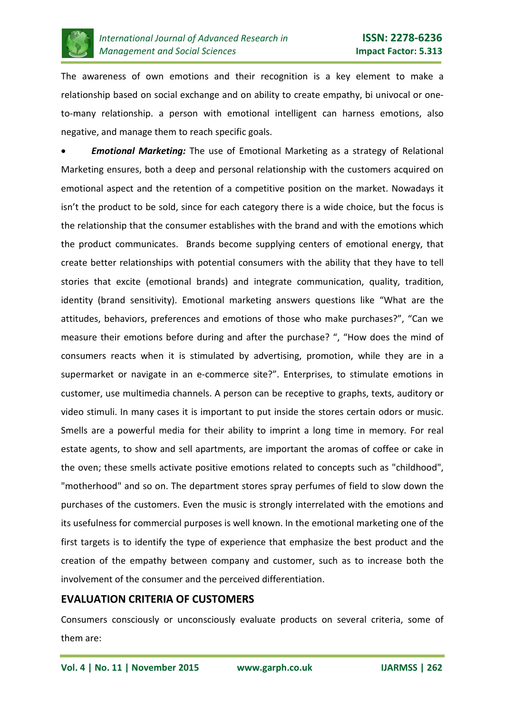

The awareness of own emotions and their recognition is a key element to make a relationship based on social exchange and on ability to create empathy, bi univocal or oneto-many relationship. a person with emotional intelligent can harness emotions, also negative, and manage them to reach specific goals.

• *Emotional Marketing:* The use of Emotional Marketing as a strategy of Relational Marketing ensures, both a deep and personal relationship with the customers acquired on emotional aspect and the retention of a competitive position on the market. Nowadays it isn't the product to be sold, since for each category there is a wide choice, but the focus is the relationship that the consumer establishes with the brand and with the emotions which the product communicates. Brands become supplying centers of emotional energy, that create better relationships with potential consumers with the ability that they have to tell stories that excite (emotional brands) and integrate communication, quality, tradition, identity (brand sensitivity). Emotional marketing answers questions like "What are the attitudes, behaviors, preferences and emotions of those who make purchases?", "Can we measure their emotions before during and after the purchase? ", "How does the mind of consumers reacts when it is stimulated by advertising, promotion, while they are in a supermarket or navigate in an e-commerce site?". Enterprises, to stimulate emotions in customer, use multimedia channels. A person can be receptive to graphs, texts, auditory or video stimuli. In many cases it is important to put inside the stores certain odors or music. Smells are a powerful media for their ability to imprint a long time in memory. For real estate agents, to show and sell apartments, are important the aromas of coffee or cake in the oven; these smells activate positive emotions related to concepts such as "childhood", "motherhood" and so on. The department stores spray perfumes of field to slow down the purchases of the customers. Even the music is strongly interrelated with the emotions and its usefulness for commercial purposes is well known. In the emotional marketing one of the first targets is to identify the type of experience that emphasize the best product and the creation of the empathy between company and customer, such as to increase both the involvement of the consumer and the perceived differentiation.

### **EVALUATION CRITERIA OF CUSTOMERS**

Consumers consciously or unconsciously evaluate products on several criteria, some of them are: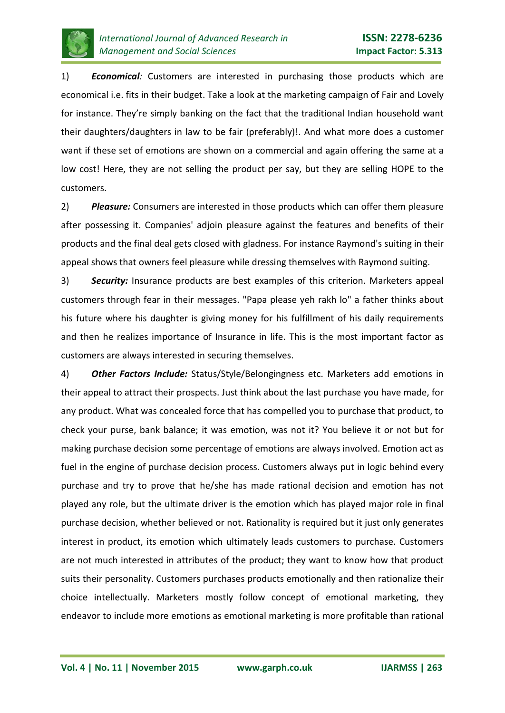

1) *Economical:* Customers are interested in purchasing those products which are economical i.e. fits in their budget. Take a look at the marketing campaign of Fair and Lovely for instance. They're simply banking on the fact that the traditional Indian household want their daughters/daughters in law to be fair (preferably)!. And what more does a customer want if these set of emotions are shown on a commercial and again offering the same at a low cost! Here, they are not selling the product per say, but they are selling HOPE to the customers.

2) *Pleasure:* Consumers are interested in those products which can offer them pleasure after possessing it. Companies' adjoin pleasure against the features and benefits of their products and the final deal gets closed with gladness. For instance Raymond's suiting in their appeal shows that owners feel pleasure while dressing themselves with Raymond suiting.

3) *Security:* Insurance products are best examples of this criterion. Marketers appeal customers through fear in their messages. "Papa please yeh rakh lo" a father thinks about his future where his daughter is giving money for his fulfillment of his daily requirements and then he realizes importance of Insurance in life. This is the most important factor as customers are always interested in securing themselves.

4) *Other Factors Include:* Status/Style/Belongingness etc. Marketers add emotions in their appeal to attract their prospects. Just think about the last purchase you have made, for any product. What was concealed force that has compelled you to purchase that product, to check your purse, bank balance; it was emotion, was not it? You believe it or not but for making purchase decision some percentage of emotions are always involved. Emotion act as fuel in the engine of purchase decision process. Customers always put in logic behind every purchase and try to prove that he/she has made rational decision and emotion has not played any role, but the ultimate driver is the emotion which has played major role in final purchase decision, whether believed or not. Rationality is required but it just only generates interest in product, its emotion which ultimately leads customers to purchase. Customers are not much interested in attributes of the product; they want to know how that product suits their personality. Customers purchases products emotionally and then rationalize their choice intellectually. Marketers mostly follow concept of emotional marketing, they endeavor to include more emotions as emotional marketing is more profitable than rational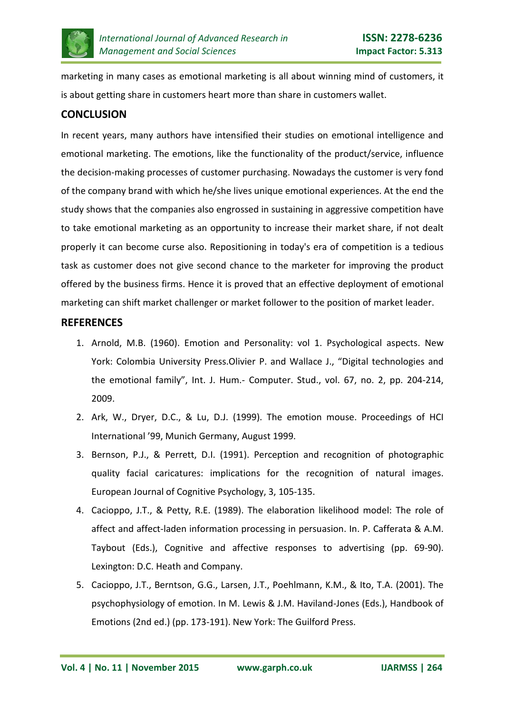

marketing in many cases as emotional marketing is all about winning mind of customers, it is about getting share in customers heart more than share in customers wallet.

# **CONCLUSION**

In recent years, many authors have intensified their studies on emotional intelligence and emotional marketing. The emotions, like the functionality of the product/service, influence the decision-making processes of customer purchasing. Nowadays the customer is very fond of the company brand with which he/she lives unique emotional experiences. At the end the study shows that the companies also engrossed in sustaining in aggressive competition have to take emotional marketing as an opportunity to increase their market share, if not dealt properly it can become curse also. Repositioning in today's era of competition is a tedious task as customer does not give second chance to the marketer for improving the product offered by the business firms. Hence it is proved that an effective deployment of emotional marketing can shift market challenger or market follower to the position of market leader.

# **REFERENCES**

- 1. Arnold, M.B. (1960). Emotion and Personality: vol 1. Psychological aspects. New York: Colombia University Press.Olivier P. and Wallace J., "Digital technologies and the emotional family", Int. J. Hum.- Computer. Stud., vol. 67, no. 2, pp. 204-214, 2009.
- 2. Ark, W., Dryer, D.C., & Lu, D.J. (1999). The emotion mouse. Proceedings of HCI International '99, Munich Germany, August 1999.
- 3. Bernson, P.J., & Perrett, D.I. (1991). Perception and recognition of photographic quality facial caricatures: implications for the recognition of natural images. European Journal of Cognitive Psychology, 3, 105-135.
- 4. Cacioppo, J.T., & Petty, R.E. (1989). The elaboration likelihood model: The role of affect and affect-laden information processing in persuasion. In. P. Cafferata & A.M. Taybout (Eds.), Cognitive and affective responses to advertising (pp. 69-90). Lexington: D.C. Heath and Company.
- 5. Cacioppo, J.T., Berntson, G.G., Larsen, J.T., Poehlmann, K.M., & Ito, T.A. (2001). The psychophysiology of emotion. In M. Lewis & J.M. Haviland-Jones (Eds.), Handbook of Emotions (2nd ed.) (pp. 173-191). New York: The Guilford Press.